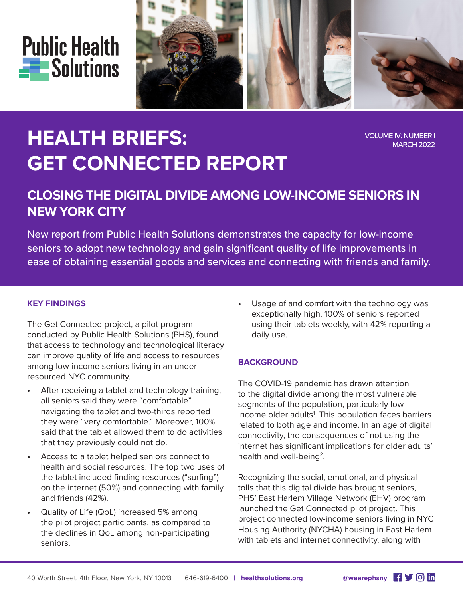



# **HEALTH BRIEFS: GET CONNECTED REPORT**

VOLUME IV: NUMBER I MARCH 2022

## **CLOSING THE DIGITAL DIVIDE AMONG LOW-INCOME SENIORS IN NEW YORK CITY**

New report from Public Health Solutions demonstrates the capacity for low-income seniors to adopt new technology and gain significant quality of life improvements in ease of obtaining essential goods and services and connecting with friends and family.

#### **KEY FINDINGS**

The Get Connected project, a pilot program conducted by Public Health Solutions (PHS), found that access to technology and technological literacy can improve quality of life and access to resources among low-income seniors living in an underresourced NYC community.

- After receiving a tablet and technology training, all seniors said they were "comfortable" navigating the tablet and two-thirds reported they were "very comfortable." Moreover, 100% said that the tablet allowed them to do activities that they previously could not do.
- Access to a tablet helped seniors connect to health and social resources. The top two uses of the tablet included finding resources ("surfing") on the internet (50%) and connecting with family and friends (42%).
- Quality of Life (QoL) increased 5% among the pilot project participants, as compared to the declines in QoL among non-participating seniors.

Usage of and comfort with the technology was exceptionally high. 100% of seniors reported using their tablets weekly, with 42% reporting a daily use.

#### **BACKGROUND**

The COVID-19 pandemic has drawn attention to the digital divide among the most vulnerable segments of the population, particularly lowincome older adults<sup>1</sup>. This population faces barriers related to both age and income. In an age of digital connectivity, the consequences of not using the internet has significant implications for older adults' health and well-being<sup>2</sup>.

Recognizing the social, emotional, and physical tolls that this digital divide has brought seniors, PHS' East Harlem Village Network (EHV) program launched the Get Connected pilot project. This project connected low-income seniors living in NYC Housing Authority (NYCHA) housing in East Harlem with tablets and internet connectivity, along with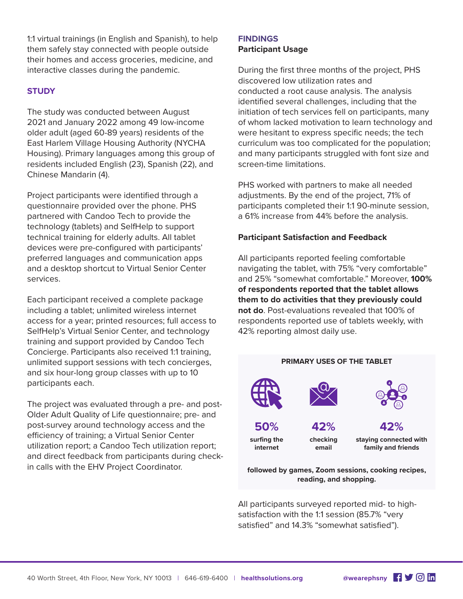1:1 virtual trainings (in English and Spanish), to help them safely stay connected with people outside their homes and access groceries, medicine, and interactive classes during the pandemic.

#### **STUDY**

The study was conducted between August 2021 and January 2022 among 49 low-income older adult (aged 60-89 years) residents of the East Harlem Village Housing Authority (NYCHA Housing). Primary languages among this group of residents included English (23), Spanish (22), and Chinese Mandarin (4).

Project participants were identified through a questionnaire provided over the phone. PHS partnered with Candoo Tech to provide the technology (tablets) and SelfHelp to support technical training for elderly adults. All tablet devices were pre-configured with participants' preferred languages and communication apps and a desktop shortcut to Virtual Senior Center services.

Each participant received a complete package including a tablet; unlimited wireless internet access for a year; printed resources; full access to SelfHelp's Virtual Senior Center, and technology training and support provided by Candoo Tech Concierge. Participants also received 1:1 training, unlimited support sessions with tech concierges, and six hour-long group classes with up to 10 participants each.

The project was evaluated through a pre- and post-Older Adult Quality of Life questionnaire; pre- and post-survey around technology access and the efficiency of training; a Virtual Senior Center utilization report; a Candoo Tech utilization report; and direct feedback from participants during checkin calls with the EHV Project Coordinator.

### **FINDINGS Participant Usage**

During the first three months of the project, PHS discovered low utilization rates and conducted a root cause analysis. The analysis identified several challenges, including that the initiation of tech services fell on participants, many of whom lacked motivation to learn technology and were hesitant to express specific needs; the tech curriculum was too complicated for the population; and many participants struggled with font size and screen-time limitations.

PHS worked with partners to make all needed adjustments. By the end of the project, 71% of participants completed their 1:1 90-minute session, a 61% increase from 44% before the analysis.

#### **Participant Satisfaction and Feedback**

All participants reported feeling comfortable navigating the tablet, with 75% "very comfortable" and 25% "somewhat comfortable." Moreover, **100% of respondents reported that the tablet allows them to do activities that they previously could not do**. Post-evaluations revealed that 100% of respondents reported use of tablets weekly, with 42% reporting almost daily use.



**followed by games, Zoom sessions, cooking recipes, reading, and shopping.**

All participants surveyed reported mid- to highsatisfaction with the 1:1 session (85.7% "very satisfied" and 14.3% "somewhat satisfied").